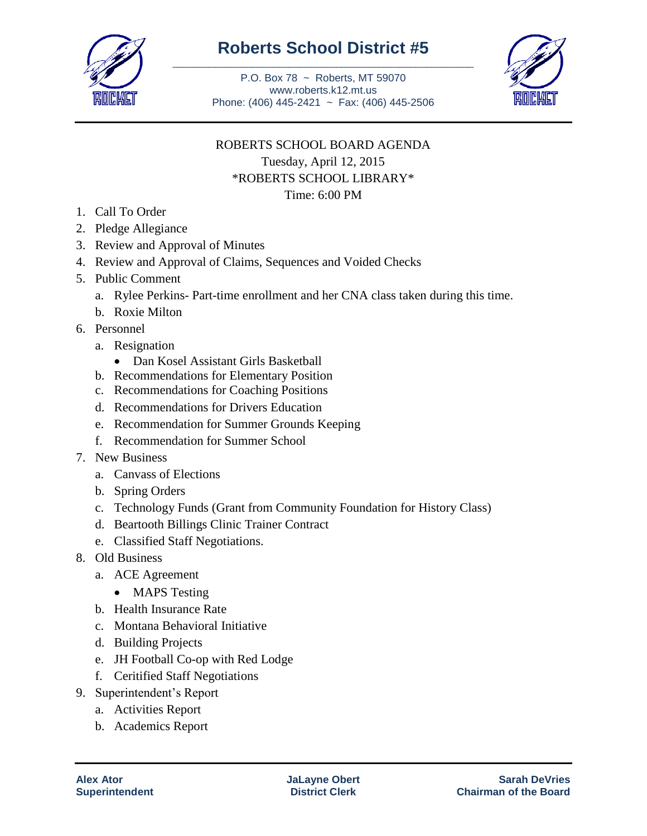

## **Roberts School District #5** \_\_\_\_\_\_\_\_\_\_\_\_\_\_\_\_\_\_\_\_\_\_\_\_\_\_\_\_\_\_\_\_\_\_\_\_\_\_\_\_\_\_\_\_\_\_\_\_\_\_\_\_\_\_\_\_\_

P.O. Box 78 ~ Roberts, MT 59070 www.roberts.k12.mt.us Phone: (406) 445-2421 ~ Fax: (406) 445-2506



# ROBERTS SCHOOL BOARD AGENDA Tuesday, April 12, 2015

\*ROBERTS SCHOOL LIBRARY\*

# Time: 6:00 PM

- 1. Call To Order
- 2. Pledge Allegiance
- 3. Review and Approval of Minutes
- 4. Review and Approval of Claims, Sequences and Voided Checks
- 5. Public Comment
	- a. Rylee Perkins- Part-time enrollment and her CNA class taken during this time.
	- b. Roxie Milton
- 6. Personnel
	- a. Resignation
		- Dan Kosel Assistant Girls Basketball
	- b. Recommendations for Elementary Position
	- c. Recommendations for Coaching Positions
	- d. Recommendations for Drivers Education
	- e. Recommendation for Summer Grounds Keeping
	- f. Recommendation for Summer School
- 7. New Business
	- a. Canvass of Elections
	- b. Spring Orders
	- c. Technology Funds (Grant from Community Foundation for History Class)
	- d. Beartooth Billings Clinic Trainer Contract
	- e. Classified Staff Negotiations.
- 8. Old Business
	- a. ACE Agreement
		- MAPS Testing
	- b. Health Insurance Rate
	- c. Montana Behavioral Initiative
	- d. Building Projects
	- e. JH Football Co-op with Red Lodge
	- f. Ceritified Staff Negotiations
- 9. Superintendent's Report
	- a. Activities Report
	- b. Academics Report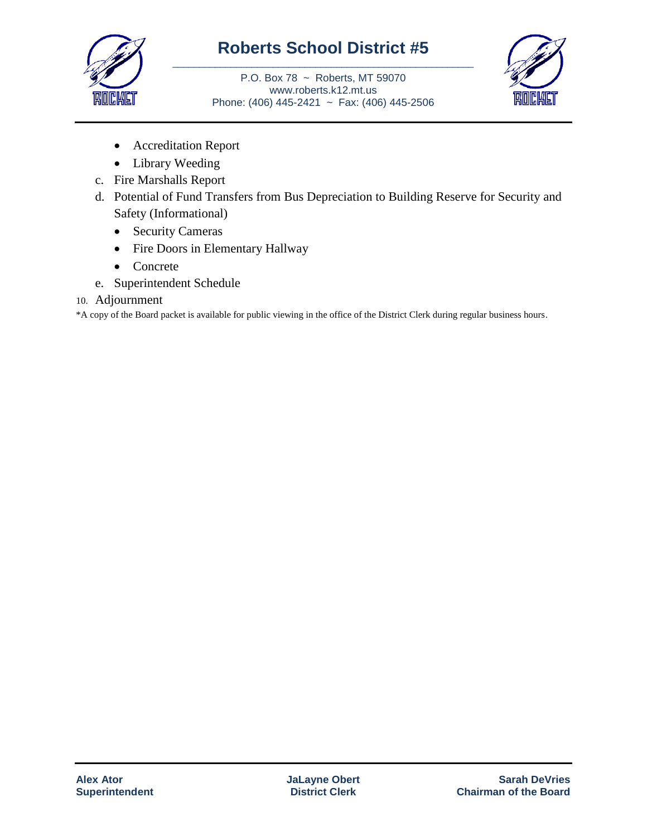

## **Roberts School District #5** \_\_\_\_\_\_\_\_\_\_\_\_\_\_\_\_\_\_\_\_\_\_\_\_\_\_\_\_\_\_\_\_\_\_\_\_\_\_\_\_\_\_\_\_\_\_\_\_\_\_\_\_\_\_\_\_\_

P.O. Box 78 ~ Roberts, MT 59070 www.roberts.k12.mt.us Phone: (406) 445-2421 ~ Fax: (406) 445-2506



- Accreditation Report
- Library Weeding
- c. Fire Marshalls Report
- d. Potential of Fund Transfers from Bus Depreciation to Building Reserve for Security and Safety (Informational)
	- Security Cameras
	- Fire Doors in Elementary Hallway
	- Concrete
- e. Superintendent Schedule
- 10. Adjournment

\*A copy of the Board packet is available for public viewing in the office of the District Clerk during regular business hours.